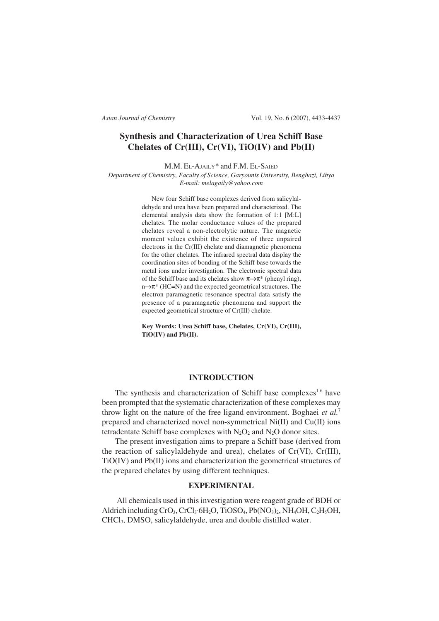*Asian Journal of Chemistry* Vol. 19, No. 6 (2007), 4433-4437

# **Synthesis and Characterization of Urea Schiff Base Chelates of Cr(III), Cr(VI), TiO(IV) and Pb(II)**

M.M. EL-AJAILY\* and F.M. EL-SAIED

*Department of Chemistry, Faculty of Science, Garyounis University, Benghazi, Libya E-mail: melagaily@yahoo.com*

> New four Schiff base complexes derived from salicylaldehyde and urea have been prepared and characterized. The elemental analysis data show the formation of 1:1 [M:L] chelates. The molar conductance values of the prepared chelates reveal a non-electrolytic nature. The magnetic moment values exhibit the existence of three unpaired electrons in the Cr(III) chelate and diamagnetic phenomena for the other chelates. The infrared spectral data display the coordination sites of bonding of the Schiff base towards the metal ions under investigation. The electronic spectral data of the Schiff base and its chelates show  $\pi \rightarrow \pi^*$  (phenyl ring), n→π\* (HC=N) and the expected geometrical structures. The electron paramagnetic resonance spectral data satisfy the presence of a paramagnetic phenomena and support the expected geometrical structure of Cr(III) chelate.

> **Key Words: Urea Schiff base, Chelates, Cr(VI), Cr(III), TiO(IV) and Pb(II).**

## **INTRODUCTION**

The synthesis and characterization of Schiff base complexes<sup>1-6</sup> have been prompted that the systematic characterization of these complexes may throw light on the nature of the free ligand environment. Boghaei *et al.*<sup>7</sup> prepared and characterized novel non-symmetrical Ni(II) and Cu(II) ions tetradentate Schiff base complexes with  $N_2O_2$  and  $N_2O$  donor sites.

The present investigation aims to prepare a Schiff base (derived from the reaction of salicylaldehyde and urea), chelates of Cr(VI), Cr(III), TiO(IV) and Pb(II) ions and characterization the geometrical structures of the prepared chelates by using different techniques.

### **EXPERIMENTAL**

 All chemicals used in this investigation were reagent grade of BDH or Aldrich including CrO<sub>3</sub>, CrCl<sub>3</sub>·6H<sub>2</sub>O, TiOSO<sub>4</sub>, Pb(NO<sub>3</sub>)<sub>2</sub>, NH<sub>4</sub>OH, C<sub>2</sub>H<sub>5</sub>OH, CHCl3, DMSO, salicylaldehyde, urea and double distilled water.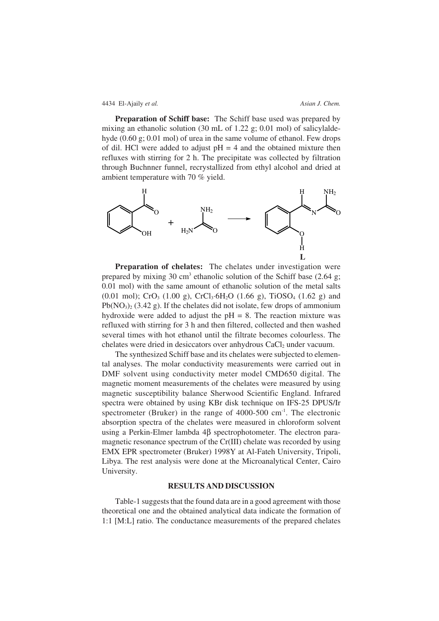### 4434 El-Ajaily *et al. Asian J. Chem.*

**Preparation of Schiff base:** The Schiff base used was prepared by mixing an ethanolic solution (30 mL of 1.22 g; 0.01 mol) of salicylaldehyde (0.60 g; 0.01 mol) of urea in the same volume of ethanol. Few drops of dil. HCl were added to adjust  $pH = 4$  and the obtained mixture then refluxes with stirring for 2 h. The precipitate was collected by filtration through Buchnner funnel, recrystallized from ethyl alcohol and dried at ambient temperature with 70 % yield.



**Preparation of chelates:** The chelates under investigation were prepared by mixing 30 cm<sup>3</sup> ethanolic solution of the Schiff base (2.64 g; 0.01 mol) with the same amount of ethanolic solution of the metal salts (0.01 mol); CrO<sub>3</sub> (1.00 g), CrCl<sub>3</sub>·6H<sub>2</sub>O (1.66 g), TiOSO<sub>4</sub> (1.62 g) and  $Pb(NO<sub>3</sub>)<sub>2</sub>$  (3.42 g). If the chelates did not isolate, few drops of ammonium hydroxide were added to adjust the  $pH = 8$ . The reaction mixture was refluxed with stirring for 3 h and then filtered, collected and then washed several times with hot ethanol until the filtrate becomes colourless. The chelates were dried in desiccators over anhydrous CaCl<sub>2</sub> under vacuum.

The synthesized Schiff base and its chelates were subjected to elemental analyses. The molar conductivity measurements were carried out in DMF solvent using conductivity meter model CMD650 digital. The magnetic moment measurements of the chelates were measured by using magnetic susceptibility balance Sherwood Scientific England. Infrared spectra were obtained by using KBr disk technique on IFS-25 DPUS/Ir spectrometer (Bruker) in the range of 4000-500 cm<sup>-1</sup>. The electronic absorption spectra of the chelates were measured in chloroform solvent using a Perkin-Elmer lambda 4β spectrophotometer. The electron paramagnetic resonance spectrum of the Cr(III) chelate was recorded by using EMX EPR spectrometer (Bruker) 1998Y at Al-Fateh University, Tripoli, Libya. The rest analysis were done at the Microanalytical Center, Cairo University.

#### **RESULTS AND DISCUSSION**

Table-1 suggests that the found data are in a good agreement with those theoretical one and the obtained analytical data indicate the formation of 1:1 [M:L] ratio. The conductance measurements of the prepared chelates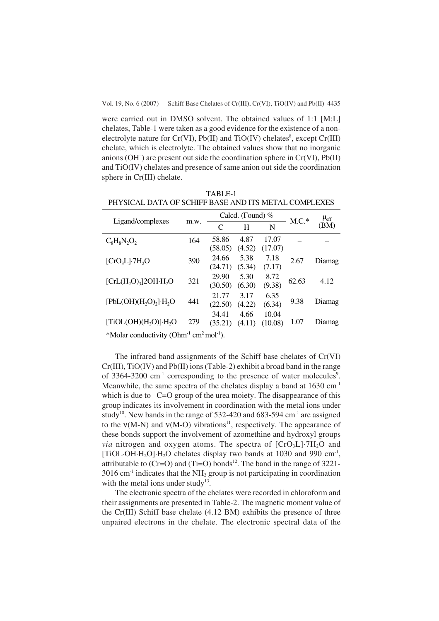Vol. 19, No. 6 (2007)Schiff Base Chelates of Cr(III), Cr(VI), TiO(IV) and Pb(II) 4435

were carried out in DMSO solvent. The obtained values of 1:1 [M:L] chelates, Table-1 were taken as a good evidence for the existence of a nonelectrolyte nature for  $Cr(VI)$ ,  $Pb(II)$  and  $TiO(IV)$  chelates<sup>8</sup>, except  $Cr(III)$ chelate, which is electrolyte. The obtained values show that no inorganic anions (OH– ) are present out side the coordination sphere in Cr(VI), Pb(II) and TiO(IV) chelates and presence of same anion out side the coordination sphere in Cr(III) chelate.

|                                    |      |               | Calcd. (Found) $%$ | $M.C.*$ | $\mu_{\rm eff}$ |        |  |
|------------------------------------|------|---------------|--------------------|---------|-----------------|--------|--|
| Ligand/complexes                   | m.w. | $\mathcal{C}$ | H                  | N       |                 | (BM)   |  |
| $C_8H_8N_2O_2$                     | 164  | 58.86         | 4.87               | 17.07   |                 |        |  |
|                                    |      | (58.05)       | (4.52)             | (17.07) |                 |        |  |
| $[CrO3L]7H2O$                      | 390  | 24.66         | 5.38               | 7.18    | 2.67            | Diamag |  |
|                                    |      | (24.71)       | (5.34)             | (7.17)  |                 |        |  |
|                                    | 321  | 29.90         | 5.30               | 8.72    |                 |        |  |
| $[CrL(H2O)3]$ 20H·H <sub>2</sub> O |      | (30.50)       | (6.30)             | (9.38)  | 62.63           | 4.12   |  |
|                                    |      | 21.77         | 3.17               | 6.35    |                 |        |  |
| $[PbL(OH)(H2O)2]·H2O$              | 441  | (22.50)       | (4.22)             | (6.34)  | 9.38            | Diamag |  |
|                                    |      | 34.41         | 4.66               | 10.04   |                 |        |  |
| [TiOL(OH)( $H_2O$ )] $\cdot H_2O$  | 279  | (35.21)       | (4.11)             | (10.08) | 1.07            | Diamag |  |

TABLE-1 PHYSICAL DATA OF SCHIFF BASE AND ITS METAL COMPLEXES

\*Molar conductivity  $(Ohm^{-1}$  cm<sup>2</sup> mol<sup>-1</sup>).

The infrared band assignments of the Schiff base chelates of Cr(VI) Cr(III), TiO(IV) and Pb(II) ions (Table-2) exhibit a broad band in the range of 3364-3200 cm<sup>-1</sup> corresponding to the presence of water molecules<sup>9</sup>. Meanwhile, the same spectra of the chelates display a band at  $1630 \text{ cm}^{-1}$ which is due to  $-C=O$  group of the urea moiety. The disappearance of this group indicates its involvement in coordination with the metal ions under study<sup>10</sup>. New bands in the range of 532-420 and 683-594 cm<sup>-1</sup> are assigned to the  $v(M-N)$  and  $v(M-O)$  vibrations<sup>11</sup>, respectively. The appearance of these bonds support the involvement of azomethine and hydroxyl groups *via* nitrogen and oxygen atoms. The spectra of  $[CrO<sub>3</sub>L]$ <sup> $-7H<sub>2</sub>O$  and</sup> [TiOL·OH·H<sub>2</sub>O]·H<sub>2</sub>O chelates display two bands at 1030 and 990 cm<sup>-1</sup>, attributable to  $(Cr=O)$  and  $(Ti=O)$  bonds<sup>12</sup>. The band in the range of 3221- $3016$  cm<sup>-1</sup> indicates that the NH<sub>2</sub> group is not participating in coordination with the metal ions under study<sup>13</sup>.

The electronic spectra of the chelates were recorded in chloroform and their assignments are presented in Table-2. The magnetic moment value of the Cr(III) Schiff base chelate (4.12 BM) exhibits the presence of three unpaired electrons in the chelate. The electronic spectral data of the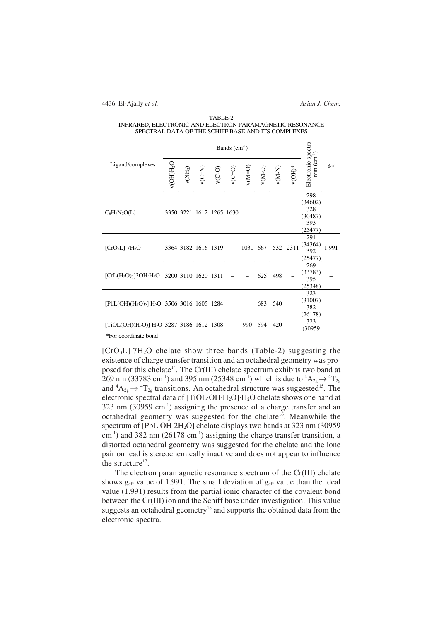4436 El-Ajaily *et al. Asian J. Chem.*

| TABLE-2                                                  |
|----------------------------------------------------------|
| INFRARED. ELECTRONIC AND ELECTRON PARAMAGNETIC RESONANCE |
| SPECTRAL DATA OF THE SCHIFF BASE AND ITS COMPLEXES       |

|                                                                               | Bands $(cm-1)$  |                          |          |          |          |                                             |          |          |          |                                                    |                  |
|-------------------------------------------------------------------------------|-----------------|--------------------------|----------|----------|----------|---------------------------------------------|----------|----------|----------|----------------------------------------------------|------------------|
| Ligand/complexes                                                              | $v$ (OH) $H_2O$ | $V(\text{NH}_2)$         | $V(C=N)$ | $V(C-O)$ | $v(C=0)$ | $\mathsf{v}(\mathsf{M}\!\!=\!\!\mathsf{O})$ | $v(M-O)$ | $V(M-N)$ | $V(OH)*$ | Electronic spectra<br>$mm (cm-1)$                  | $g_{\text{eff}}$ |
| $C_8H_8N_2O(L)$                                                               |                 | 3350 3221 1612 1265 1630 |          |          |          |                                             |          |          |          | 298<br>(34602)<br>328<br>(30487)<br>393<br>(25477) |                  |
| $[CrO3L]7H2O$                                                                 |                 | 3364 3182 1616 1319      |          |          |          | 1030 667                                    |          |          | 532 2311 | 291<br>(34364)<br>392<br>(25477)                   | 1.991            |
| [CrL(H <sub>2</sub> O) <sub>3</sub> ]2OH·H <sub>2</sub> O 3200 3110 1620 1311 |                 |                          |          |          |          |                                             | 625      | 498      |          | 269<br>(33783)<br>395<br>(25348)                   |                  |
| $[PbL(OH)(H2O)2] \cdot H2O$ 3506 3016 1605 1284                               |                 |                          |          |          |          |                                             | 683      | 540      |          | 323<br>(31007)<br>382<br>(26178)                   |                  |
| [TiOL(OH)(H <sub>2</sub> O)]·H <sub>2</sub> O 3287 3186 1612 1308             |                 |                          |          |          |          | 990                                         | 594      | 420      |          | 323<br>(30959                                      |                  |

\*For coordinate bond

 $[CrO<sub>3</sub>L]·7H<sub>2</sub>O$  chelate show three bands (Table-2) suggesting the existence of charge transfer transition and an octahedral geometry was proposed for this chelate<sup>14</sup>. The Cr(III) chelate spectrum exhibits two band at 269 nm (33783 cm<sup>-1</sup>) and 395 nm (25348 cm<sup>-1</sup>) which is due to  ${}^{4}A_{2g} \rightarrow {}^{4}T_{2g}$ and  ${}^4A_{2g} \rightarrow {}^4T_{2g}$  transitions. An octahedral structure was suggested<sup>15</sup>. The electronic spectral data of [TiOL·OH·H2O]·H2O chelate shows one band at  $323$  nm (30959 cm<sup>-1</sup>) assigning the presence of a charge transfer and an octahedral geometry was suggested for the chelate<sup>16</sup>. Meanwhile the spectrum of [PbL·OH·2H<sub>2</sub>O] chelate displays two bands at 323 nm (30959)  $\text{cm}^{-1}$ ) and 382 nm (26178 cm<sup>-1</sup>) assigning the charge transfer transition, a distorted octahedral geometry was suggested for the chelate and the lone pair on lead is stereochemically inactive and does not appear to influence the structure<sup>17</sup>.

The electron paramagnetic resonance spectrum of the Cr(III) chelate shows  $g_{\text{eff}}$  value of 1.991. The small deviation of  $g_{\text{eff}}$  value than the ideal value (1.991) results from the partial ionic character of the covalent bond between the Cr(III) ion and the Schiff base under investigation. This value suggests an octahedral geometry<sup>18</sup> and supports the obtained data from the electronic spectra.